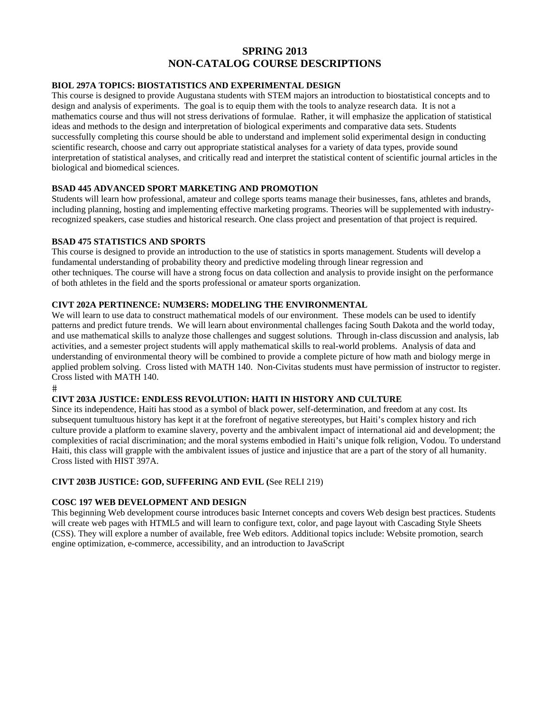# **SPRING 2013 NON-CATALOG COURSE DESCRIPTIONS**

## **BIOL 297A TOPICS: BIOSTATISTICS AND EXPERIMENTAL DESIGN**

This course is designed to provide Augustana students with STEM majors an introduction to biostatistical concepts and to design and analysis of experiments. The goal is to equip them with the tools to analyze research data. It is not a mathematics course and thus will not stress derivations of formulae. Rather, it will emphasize the application of statistical ideas and methods to the design and interpretation of biological experiments and comparative data sets. Students successfully completing this course should be able to understand and implement solid experimental design in conducting scientific research, choose and carry out appropriate statistical analyses for a variety of data types, provide sound interpretation of statistical analyses, and critically read and interpret the statistical content of scientific journal articles in the biological and biomedical sciences.

## **BSAD 445 ADVANCED SPORT MARKETING AND PROMOTION**

Students will learn how professional, amateur and college sports teams manage their businesses, fans, athletes and brands, including planning, hosting and implementing effective marketing programs. Theories will be supplemented with industryrecognized speakers, case studies and historical research. One class project and presentation of that project is required.

#### **BSAD 475 STATISTICS AND SPORTS**

This course is designed to provide an introduction to the use of statistics in sports management. Students will develop a fundamental understanding of probability theory and predictive modeling through linear regression and other techniques. The course will have a strong focus on data collection and analysis to provide insight on the performance of both athletes in the field and the sports professional or amateur sports organization.

#### **CIVT 202A PERTINENCE: NUM3ERS: MODELING THE ENVIRONMENTAL**

We will learn to use data to construct mathematical models of our environment. These models can be used to identify patterns and predict future trends. We will learn about environmental challenges facing South Dakota and the world today, and use mathematical skills to analyze those challenges and suggest solutions. Through in-class discussion and analysis, lab activities, and a semester project students will apply mathematical skills to real-world problems. Analysis of data and understanding of environmental theory will be combined to provide a complete picture of how math and biology merge in applied problem solving. Cross listed with MATH 140. Non-Civitas students must have permission of instructor to register. Cross listed with MATH 140.

 $#$ 

#### **CIVT 203A JUSTICE: ENDLESS REVOLUTION: HAITI IN HISTORY AND CULTURE**

Since its independence, Haiti has stood as a symbol of black power, self-determination, and freedom at any cost. Its subsequent tumultuous history has kept it at the forefront of negative stereotypes, but Haiti's complex history and rich culture provide a platform to examine slavery, poverty and the ambivalent impact of international aid and development; the complexities of racial discrimination; and the moral systems embodied in Haiti's unique folk religion, Vodou. To understand Haiti, this class will grapple with the ambivalent issues of justice and injustice that are a part of the story of all humanity. Cross listed with HIST 397A.

#### **CIVT 203B JUSTICE: GOD, SUFFERING AND EVIL (**See RELI 219)

#### **COSC 197 WEB DEVELOPMENT AND DESIGN**

This beginning Web development course introduces basic Internet concepts and covers Web design best practices. Students will create web pages with HTML5 and will learn to configure text, color, and page layout with Cascading Style Sheets (CSS). They will explore a number of available, free Web editors. Additional topics include: Website promotion, search engine optimization, e-commerce, accessibility, and an introduction to JavaScript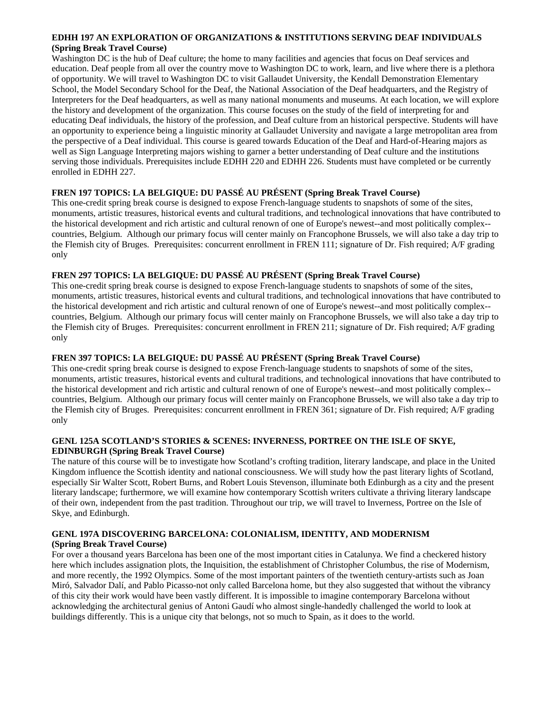#### **EDHH 197 AN EXPLORATION OF ORGANIZATIONS & INSTITUTIONS SERVING DEAF INDIVIDUALS (Spring Break Travel Course)**

Washington DC is the hub of Deaf culture; the home to many facilities and agencies that focus on Deaf services and education. Deaf people from all over the country move to Washington DC to work, learn, and live where there is a plethora of opportunity. We will travel to Washington DC to visit Gallaudet University, the Kendall Demonstration Elementary School, the Model Secondary School for the Deaf, the National Association of the Deaf headquarters, and the Registry of Interpreters for the Deaf headquarters, as well as many national monuments and museums. At each location, we will explore the history and development of the organization. This course focuses on the study of the field of interpreting for and educating Deaf individuals, the history of the profession, and Deaf culture from an historical perspective. Students will have an opportunity to experience being a linguistic minority at Gallaudet University and navigate a large metropolitan area from the perspective of a Deaf individual. This course is geared towards Education of the Deaf and Hard-of-Hearing majors as well as Sign Language Interpreting majors wishing to garner a better understanding of Deaf culture and the institutions serving those individuals. Prerequisites include EDHH 220 and EDHH 226. Students must have completed or be currently enrolled in EDHH 227.

## **FREN 197 TOPICS: LA BELGIQUE: DU PASSÉ AU PRÉSENT (Spring Break Travel Course)**

This one-credit spring break course is designed to expose French-language students to snapshots of some of the sites, monuments, artistic treasures, historical events and cultural traditions, and technological innovations that have contributed to the historical development and rich artistic and cultural renown of one of Europe's newest--and most politically complex- countries, Belgium. Although our primary focus will center mainly on Francophone Brussels, we will also take a day trip to the Flemish city of Bruges. Prerequisites: concurrent enrollment in FREN 111; signature of Dr. Fish required; A/F grading only

## **FREN 297 TOPICS: LA BELGIQUE: DU PASSÉ AU PRÉSENT (Spring Break Travel Course)**

This one-credit spring break course is designed to expose French-language students to snapshots of some of the sites, monuments, artistic treasures, historical events and cultural traditions, and technological innovations that have contributed to the historical development and rich artistic and cultural renown of one of Europe's newest--and most politically complex- countries, Belgium. Although our primary focus will center mainly on Francophone Brussels, we will also take a day trip to the Flemish city of Bruges. Prerequisites: concurrent enrollment in FREN 211; signature of Dr. Fish required; A/F grading only

## **FREN 397 TOPICS: LA BELGIQUE: DU PASSÉ AU PRÉSENT (Spring Break Travel Course)**

This one-credit spring break course is designed to expose French-language students to snapshots of some of the sites, monuments, artistic treasures, historical events and cultural traditions, and technological innovations that have contributed to the historical development and rich artistic and cultural renown of one of Europe's newest--and most politically complex- countries, Belgium. Although our primary focus will center mainly on Francophone Brussels, we will also take a day trip to the Flemish city of Bruges. Prerequisites: concurrent enrollment in FREN 361; signature of Dr. Fish required; A/F grading only

#### **GENL 125A SCOTLAND'S STORIES & SCENES: INVERNESS, PORTREE ON THE ISLE OF SKYE, EDINBURGH (Spring Break Travel Course)**

The nature of this course will be to investigate how Scotland's crofting tradition, literary landscape, and place in the United Kingdom influence the Scottish identity and national consciousness. We will study how the past literary lights of Scotland, especially Sir Walter Scott, Robert Burns, and Robert Louis Stevenson, illuminate both Edinburgh as a city and the present literary landscape; furthermore, we will examine how contemporary Scottish writers cultivate a thriving literary landscape of their own, independent from the past tradition. Throughout our trip, we will travel to Inverness, Portree on the Isle of Skye, and Edinburgh.

#### **GENL 197A DISCOVERING BARCELONA: COLONIALISM, IDENTITY, AND MODERNISM (Spring Break Travel Course)**

For over a thousand years Barcelona has been one of the most important cities in Catalunya. We find a checkered history here which includes assignation plots, the Inquisition, the establishment of Christopher Columbus, the rise of Modernism, and more recently, the 1992 Olympics. Some of the most important painters of the twentieth century-artists such as Joan Miró, Salvador Dalí, and Pablo Picasso-not only called Barcelona home, but they also suggested that without the vibrancy of this city their work would have been vastly different. It is impossible to imagine contemporary Barcelona without acknowledging the architectural genius of Antoni Gaudí who almost single-handedly challenged the world to look at buildings differently. This is a unique city that belongs, not so much to Spain, as it does to the world.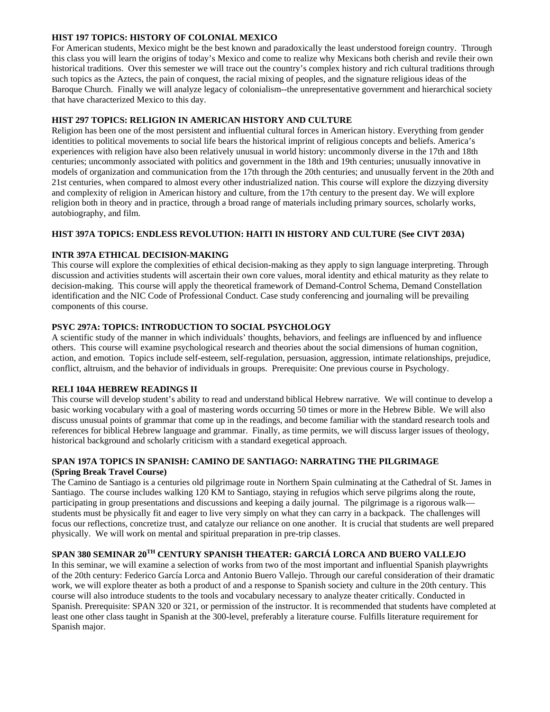#### **HIST 197 TOPICS: HISTORY OF COLONIAL MEXICO**

For American students, Mexico might be the best known and paradoxically the least understood foreign country. Through this class you will learn the origins of today's Mexico and come to realize why Mexicans both cherish and revile their own historical traditions. Over this semester we will trace out the country's complex history and rich cultural traditions through such topics as the Aztecs, the pain of conquest, the racial mixing of peoples, and the signature religious ideas of the Baroque Church. Finally we will analyze legacy of colonialism--the unrepresentative government and hierarchical society that have characterized Mexico to this day.

## **HIST 297 TOPICS: RELIGION IN AMERICAN HISTORY AND CULTURE**

Religion has been one of the most persistent and influential cultural forces in American history. Everything from gender identities to political movements to social life bears the historical imprint of religious concepts and beliefs. America's experiences with religion have also been relatively unusual in world history: uncommonly diverse in the 17th and 18th centuries; uncommonly associated with politics and government in the 18th and 19th centuries; unusually innovative in models of organization and communication from the 17th through the 20th centuries; and unusually fervent in the 20th and 21st centuries, when compared to almost every other industrialized nation. This course will explore the dizzying diversity and complexity of religion in American history and culture, from the 17th century to the present day. We will explore religion both in theory and in practice, through a broad range of materials including primary sources, scholarly works, autobiography, and film.

## **HIST 397A TOPICS: ENDLESS REVOLUTION: HAITI IN HISTORY AND CULTURE (See CIVT 203A)**

## **INTR 397A ETHICAL DECISION-MAKING**

This course will explore the complexities of ethical decision-making as they apply to sign language interpreting. Through discussion and activities students will ascertain their own core values, moral identity and ethical maturity as they relate to decision-making. This course will apply the theoretical framework of Demand-Control Schema, Demand Constellation identification and the NIC Code of Professional Conduct. Case study conferencing and journaling will be prevailing components of this course.

## **PSYC 297A: TOPICS: INTRODUCTION TO SOCIAL PSYCHOLOGY**

A scientific study of the manner in which individuals' thoughts, behaviors, and feelings are influenced by and influence others. This course will examine psychological research and theories about the social dimensions of human cognition, action, and emotion. Topics include self-esteem, self-regulation, persuasion, aggression, intimate relationships, prejudice, conflict, altruism, and the behavior of individuals in groups. Prerequisite: One previous course in Psychology.

#### **RELI 104A HEBREW READINGS II**

This course will develop student's ability to read and understand biblical Hebrew narrative. We will continue to develop a basic working vocabulary with a goal of mastering words occurring 50 times or more in the Hebrew Bible. We will also discuss unusual points of grammar that come up in the readings, and become familiar with the standard research tools and references for biblical Hebrew language and grammar. Finally, as time permits, we will discuss larger issues of theology, historical background and scholarly criticism with a standard exegetical approach.

## **SPAN 197A TOPICS IN SPANISH: CAMINO DE SANTIAGO: NARRATING THE PILGRIMAGE (Spring Break Travel Course)**

The Camino de Santiago is a centuries old pilgrimage route in Northern Spain culminating at the Cathedral of St. James in Santiago. The course includes walking 120 KM to Santiago, staying in refugios which serve pilgrims along the route, participating in group presentations and discussions and keeping a daily journal. The pilgrimage is a rigorous walk students must be physically fit and eager to live very simply on what they can carry in a backpack. The challenges will focus our reflections, concretize trust, and catalyze our reliance on one another. It is crucial that students are well prepared physically. We will work on mental and spiritual preparation in pre-trip classes.

## **SPAN 380 SEMINAR 20TH CENTURY SPANISH THEATER: GARCIÁ LORCA AND BUERO VALLEJO**

In this seminar, we will examine a selection of works from two of the most important and influential Spanish playwrights of the 20th century: Federico García Lorca and Antonio Buero Vallejo. Through our careful consideration of their dramatic work, we will explore theater as both a product of and a response to Spanish society and culture in the 20th century. This course will also introduce students to the tools and vocabulary necessary to analyze theater critically. Conducted in Spanish. Prerequisite: SPAN 320 or 321, or permission of the instructor. It is recommended that students have completed at least one other class taught in Spanish at the 300-level, preferably a literature course. Fulfills literature requirement for Spanish major.